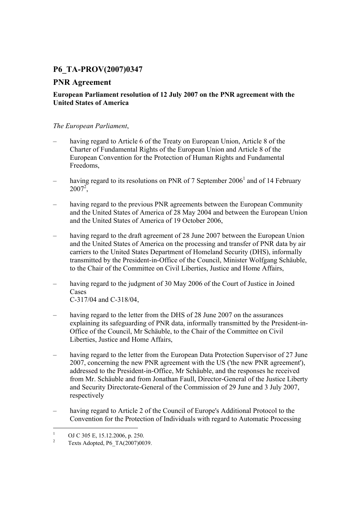# **P6\_TA-PROV(2007)0347**

# **PNR Agreement**

## **European Parliament resolution of 12 July 2007 on the PNR agreement with the United States of America**

### *The European Parliament*,

- having regard to Article 6 of the Treaty on European Union, Article 8 of the Charter of Fundamental Rights of the European Union and Article 8 of the European Convention for the Protection of Human Rights and Fundamental Freedoms,
- having regard to its resolutions on PNR of 7 September  $2006<sup>1</sup>$  and of 14 February  $2007^2$ ,
- having regard to the previous PNR agreements between the European Community and the United States of America of 28 May 2004 and between the European Union and the United States of America of 19 October 2006,
- having regard to the draft agreement of 28 June 2007 between the European Union and the United States of America on the processing and transfer of PNR data by air carriers to the United States Department of Homeland Security (DHS), informally transmitted by the President-in-Office of the Council, Minister Wolfgang Schäuble, to the Chair of the Committee on Civil Liberties, Justice and Home Affairs,
- having regard to the judgment of 30 May 2006 of the Court of Justice in Joined **Cases** C-317/04 and C-318/04,
- having regard to the letter from the DHS of 28 June 2007 on the assurances explaining its safeguarding of PNR data, informally transmitted by the President-in-Office of the Council, Mr Schäuble, to the Chair of the Committee on Civil Liberties, Justice and Home Affairs,
- having regard to the letter from the European Data Protection Supervisor of 27 June 2007, concerning the new PNR agreement with the US ('the new PNR agreement'), addressed to the President-in-Office, Mr Schäuble, and the responses he received from Mr. Schäuble and from Jonathan Faull, Director-General of the Justice Liberty and Security Directorate-General of the Commission of 29 June and 3 July 2007, respectively
- having regard to Article 2 of the Council of Europe's Additional Protocol to the Convention for the Protection of Individuals with regard to Automatic Processing

 $\frac{1}{1}$ OJ C 305 E, 15.12.2006, p. 250.

<sup>2</sup> Texts Adopted, P6\_TA(2007)0039.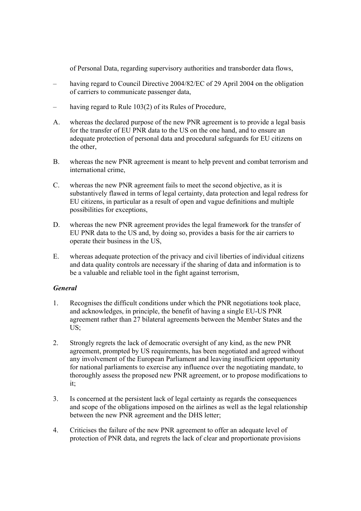of Personal Data, regarding supervisory authorities and transborder data flows,

- having regard to Council Directive 2004/82/EC of 29 April 2004 on the obligation of carriers to communicate passenger data,
- having regard to Rule 103(2) of its Rules of Procedure,
- A. whereas the declared purpose of the new PNR agreement is to provide a legal basis for the transfer of EU PNR data to the US on the one hand, and to ensure an adequate protection of personal data and procedural safeguards for EU citizens on the other
- B. whereas the new PNR agreement is meant to help prevent and combat terrorism and international crime,
- C. whereas the new PNR agreement fails to meet the second objective, as it is substantively flawed in terms of legal certainty, data protection and legal redress for EU citizens, in particular as a result of open and vague definitions and multiple possibilities for exceptions,
- D. whereas the new PNR agreement provides the legal framework for the transfer of EU PNR data to the US and, by doing so, provides a basis for the air carriers to operate their business in the US,
- E. whereas adequate protection of the privacy and civil liberties of individual citizens and data quality controls are necessary if the sharing of data and information is to be a valuable and reliable tool in the fight against terrorism,

#### *General*

- 1. Recognises the difficult conditions under which the PNR negotiations took place, and acknowledges, in principle, the benefit of having a single EU-US PNR agreement rather than 27 bilateral agreements between the Member States and the US;
- 2. Strongly regrets the lack of democratic oversight of any kind, as the new PNR agreement, prompted by US requirements, has been negotiated and agreed without any involvement of the European Parliament and leaving insufficient opportunity for national parliaments to exercise any influence over the negotiating mandate, to thoroughly assess the proposed new PNR agreement, or to propose modifications to it;
- 3. Is concerned at the persistent lack of legal certainty as regards the consequences and scope of the obligations imposed on the airlines as well as the legal relationship between the new PNR agreement and the DHS letter;
- 4. Criticises the failure of the new PNR agreement to offer an adequate level of protection of PNR data, and regrets the lack of clear and proportionate provisions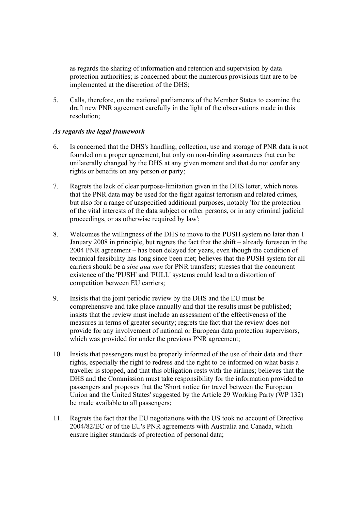as regards the sharing of information and retention and supervision by data protection authorities; is concerned about the numerous provisions that are to be implemented at the discretion of the DHS;

5. Calls, therefore, on the national parliaments of the Member States to examine the draft new PNR agreement carefully in the light of the observations made in this resolution;

#### *As regards the legal framework*

- 6. Is concerned that the DHS's handling, collection, use and storage of PNR data is not founded on a proper agreement, but only on non-binding assurances that can be unilaterally changed by the DHS at any given moment and that do not confer any rights or benefits on any person or party;
- 7. Regrets the lack of clear purpose-limitation given in the DHS letter, which notes that the PNR data may be used for the fight against terrorism and related crimes, but also for a range of unspecified additional purposes, notably 'for the protection of the vital interests of the data subject or other persons, or in any criminal judicial proceedings, or as otherwise required by law';
- 8. Welcomes the willingness of the DHS to move to the PUSH system no later than 1 January 2008 in principle, but regrets the fact that the shift – already foreseen in the 2004 PNR agreement – has been delayed for years, even though the condition of technical feasibility has long since been met; believes that the PUSH system for all carriers should be a *sine qua non* for PNR transfers; stresses that the concurrent existence of the 'PUSH' and 'PULL' systems could lead to a distortion of competition between EU carriers;
- 9. Insists that the joint periodic review by the DHS and the EU must be comprehensive and take place annually and that the results must be published; insists that the review must include an assessment of the effectiveness of the measures in terms of greater security; regrets the fact that the review does not provide for any involvement of national or European data protection supervisors, which was provided for under the previous PNR agreement;
- 10. Insists that passengers must be properly informed of the use of their data and their rights, especially the right to redress and the right to be informed on what basis a traveller is stopped, and that this obligation rests with the airlines; believes that the DHS and the Commission must take responsibility for the information provided to passengers and proposes that the 'Short notice for travel between the European Union and the United States' suggested by the Article 29 Working Party (WP 132) be made available to all passengers;
- 11. Regrets the fact that the EU negotiations with the US took no account of Directive 2004/82/EC or of the EU's PNR agreements with Australia and Canada, which ensure higher standards of protection of personal data;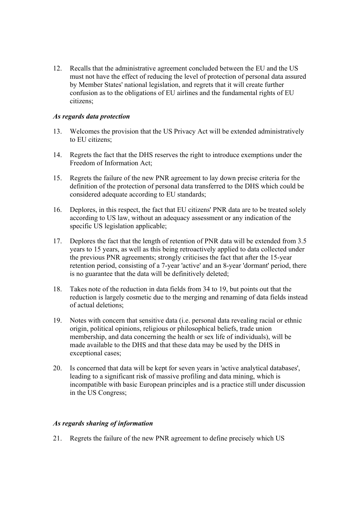12. Recalls that the administrative agreement concluded between the EU and the US must not have the effect of reducing the level of protection of personal data assured by Member States' national legislation, and regrets that it will create further confusion as to the obligations of EU airlines and the fundamental rights of EU citizens;

#### *As regards data protection*

- 13. Welcomes the provision that the US Privacy Act will be extended administratively to EU citizens;
- 14. Regrets the fact that the DHS reserves the right to introduce exemptions under the Freedom of Information Act;
- 15. Regrets the failure of the new PNR agreement to lay down precise criteria for the definition of the protection of personal data transferred to the DHS which could be considered adequate according to EU standards;
- 16. Deplores, in this respect, the fact that EU citizens' PNR data are to be treated solely according to US law, without an adequacy assessment or any indication of the specific US legislation applicable;
- 17. Deplores the fact that the length of retention of PNR data will be extended from 3.5 years to 15 years, as well as this being retroactively applied to data collected under the previous PNR agreements; strongly criticises the fact that after the 15-year retention period, consisting of a 7-year 'active' and an 8-year 'dormant' period, there is no guarantee that the data will be definitively deleted;
- 18. Takes note of the reduction in data fields from 34 to 19, but points out that the reduction is largely cosmetic due to the merging and renaming of data fields instead of actual deletions;
- 19. Notes with concern that sensitive data (i.e. personal data revealing racial or ethnic origin, political opinions, religious or philosophical beliefs, trade union membership, and data concerning the health or sex life of individuals), will be made available to the DHS and that these data may be used by the DHS in exceptional cases;
- 20. Is concerned that data will be kept for seven years in 'active analytical databases', leading to a significant risk of massive profiling and data mining, which is incompatible with basic European principles and is a practice still under discussion in the US Congress;

#### *As regards sharing of information*

21. Regrets the failure of the new PNR agreement to define precisely which US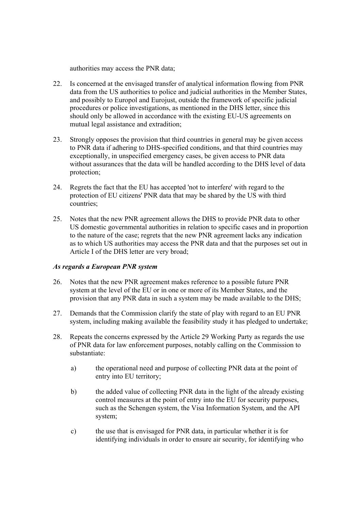authorities may access the PNR data;

- 22. Is concerned at the envisaged transfer of analytical information flowing from PNR data from the US authorities to police and judicial authorities in the Member States, and possibly to Europol and Eurojust, outside the framework of specific judicial procedures or police investigations, as mentioned in the DHS letter, since this should only be allowed in accordance with the existing EU-US agreements on mutual legal assistance and extradition;
- 23. Strongly opposes the provision that third countries in general may be given access to PNR data if adhering to DHS-specified conditions, and that third countries may exceptionally, in unspecified emergency cases, be given access to PNR data without assurances that the data will be handled according to the DHS level of data protection;
- 24. Regrets the fact that the EU has accepted 'not to interfere' with regard to the protection of EU citizens' PNR data that may be shared by the US with third countries;
- 25. Notes that the new PNR agreement allows the DHS to provide PNR data to other US domestic governmental authorities in relation to specific cases and in proportion to the nature of the case; regrets that the new PNR agreement lacks any indication as to which US authorities may access the PNR data and that the purposes set out in Article I of the DHS letter are very broad;

#### *As regards a European PNR system*

- 26. Notes that the new PNR agreement makes reference to a possible future PNR system at the level of the EU or in one or more of its Member States, and the provision that any PNR data in such a system may be made available to the DHS;
- 27. Demands that the Commission clarify the state of play with regard to an EU PNR system, including making available the feasibility study it has pledged to undertake;
- 28. Repeats the concerns expressed by the Article 29 Working Party as regards the use of PNR data for law enforcement purposes, notably calling on the Commission to substantiate:
	- a) the operational need and purpose of collecting PNR data at the point of entry into EU territory;
	- b) the added value of collecting PNR data in the light of the already existing control measures at the point of entry into the EU for security purposes, such as the Schengen system, the Visa Information System, and the API system;
	- c) the use that is envisaged for PNR data, in particular whether it is for identifying individuals in order to ensure air security, for identifying who